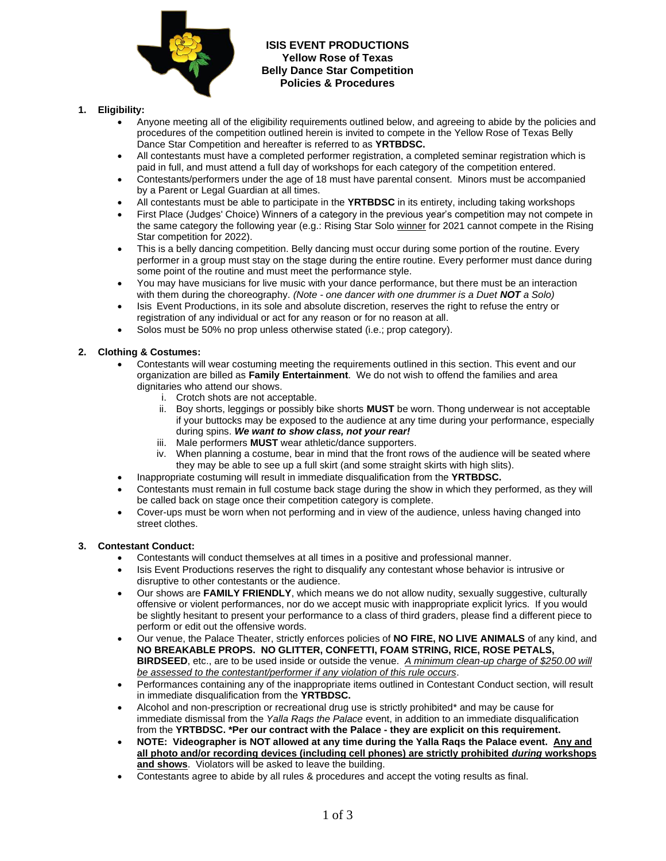

## **ISIS EVENT PRODUCTIONS Yellow Rose of Texas Belly Dance Star Competition Policies & Procedures**

#### **1. Eligibility:**

- Anyone meeting all of the eligibility requirements outlined below, and agreeing to abide by the policies and procedures of the competition outlined herein is invited to compete in the Yellow Rose of Texas Belly Dance Star Competition and hereafter is referred to as **YRTBDSC.**
- All contestants must have a completed performer registration, a completed seminar registration which is paid in full, and must attend a full day of workshops for each category of the competition entered.
- Contestants/performers under the age of 18 must have parental consent. Minors must be accompanied by a Parent or Legal Guardian at all times.
- All contestants must be able to participate in the **YRTBDSC** in its entirety, including taking workshops
- First Place (Judges' Choice) Winners of a category in the previous year's competition may not compete in the same category the following year (e.g.: Rising Star Solo winner for 2021 cannot compete in the Rising Star competition for 2022).
- This is a belly dancing competition. Belly dancing must occur during some portion of the routine. Every performer in a group must stay on the stage during the entire routine. Every performer must dance during some point of the routine and must meet the performance style.
- You may have musicians for live music with your dance performance, but there must be an interaction with them during the choreography. *(Note - one dancer with one drummer is a Duet NOT a Solo)*
- Isis Event Productions, in its sole and absolute discretion, reserves the right to refuse the entry or registration of any individual or act for any reason or for no reason at all.
- Solos must be 50% no prop unless otherwise stated (i.e.; prop category).

#### **2. Clothing & Costumes:**

- Contestants will wear costuming meeting the requirements outlined in this section. This event and our organization are billed as **Family Entertainment**. We do not wish to offend the families and area dignitaries who attend our shows.
	- i. Crotch shots are not acceptable.
	- ii. Boy shorts, leggings or possibly bike shorts **MUST** be worn. Thong underwear is not acceptable if your buttocks may be exposed to the audience at any time during your performance, especially during spins. *We want to show class, not your rear!*
	- iii. Male performers **MUST** wear athletic/dance supporters.
	- iv. When planning a costume, bear in mind that the front rows of the audience will be seated where they may be able to see up a full skirt (and some straight skirts with high slits).
- Inappropriate costuming will result in immediate disqualification from the **YRTBDSC.**
- Contestants must remain in full costume back stage during the show in which they performed, as they will be called back on stage once their competition category is complete.
- Cover-ups must be worn when not performing and in view of the audience, unless having changed into street clothes.

#### **3. Contestant Conduct:**

- Contestants will conduct themselves at all times in a positive and professional manner.
- Isis Event Productions reserves the right to disqualify any contestant whose behavior is intrusive or disruptive to other contestants or the audience.
- Our shows are **FAMILY FRIENDLY**, which means we do not allow nudity, sexually suggestive, culturally offensive or violent performances, nor do we accept music with inappropriate explicit lyrics. If you would be slightly hesitant to present your performance to a class of third graders, please find a different piece to perform or edit out the offensive words.
- Our venue, the Palace Theater, strictly enforces policies of **NO FIRE, NO LIVE ANIMALS** of any kind, and **NO BREAKABLE PROPS. NO GLITTER, CONFETTI, FOAM STRING, RICE, ROSE PETALS, BIRDSEED**, etc., are to be used inside or outside the venue. *A minimum clean-up charge of \$250.00 will be assessed to the contestant/performer if any violation of this rule occurs*.
- Performances containing any of the inappropriate items outlined in Contestant Conduct section, will result in immediate disqualification from the **YRTBDSC.**
- Alcohol and non-prescription or recreational drug use is strictly prohibited\* and may be cause for immediate dismissal from the *Yalla Raqs the Palace* event, in addition to an immediate disqualification from the **YRTBDSC. \*Per our contract with the Palace - they are explicit on this requirement.**
- **NOTE: Videographer is NOT allowed at any time during the Yalla Raqs the Palace event. Any and all photo and/or recording devices (including cell phones) are strictly prohibited** *during* **workshops and shows**. Violators will be asked to leave the building.
- Contestants agree to abide by all rules & procedures and accept the voting results as final.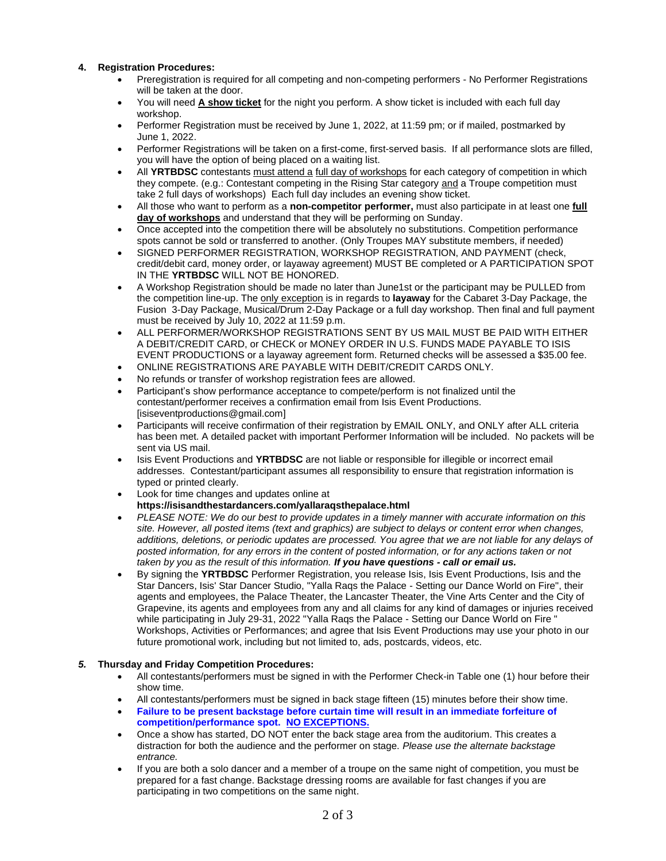#### **4. Registration Procedures:**

- Preregistration is required for all competing and non-competing performers No Performer Registrations will be taken at the door.
- You will need **A show ticket** for the night you perform. A show ticket is included with each full day workshop.
- Performer Registration must be received by June 1, 2022, at 11:59 pm; or if mailed, postmarked by June 1, 2022.
- Performer Registrations will be taken on a first-come, first-served basis. If all performance slots are filled, you will have the option of being placed on a waiting list.
- All **YRTBDSC** contestants must attend a full day of workshops for each category of competition in which they compete. (e.g.: Contestant competing in the Rising Star category and a Troupe competition must take 2 full days of workshops) Each full day includes an evening show ticket.
- All those who want to perform as a **non-competitor performer,** must also participate in at least one **full day of workshops** and understand that they will be performing on Sunday.
- Once accepted into the competition there will be absolutely no substitutions. Competition performance spots cannot be sold or transferred to another. (Only Troupes MAY substitute members, if needed)
- SIGNED PERFORMER REGISTRATION, WORKSHOP REGISTRATION, AND PAYMENT (check, credit/debit card, money order, or layaway agreement) MUST BE completed or A PARTICIPATION SPOT IN THE **YRTBDSC** WILL NOT BE HONORED.
- A Workshop Registration should be made no later than June1st or the participant may be PULLED from the competition line-up. The only exception is in regards to **layaway** for the Cabaret 3-Day Package, the Fusion 3-Day Package, Musical/Drum 2-Day Package or a full day workshop. Then final and full payment must be received by July 10, 2022 at 11:59 p.m.
- ALL PERFORMER/WORKSHOP REGISTRATIONS SENT BY US MAIL MUST BE PAID WITH EITHER A DEBIT/CREDIT CARD, or CHECK or MONEY ORDER IN U.S. FUNDS MADE PAYABLE TO ISIS EVENT PRODUCTIONS or a layaway agreement form. Returned checks will be assessed a \$35.00 fee.
- ONLINE REGISTRATIONS ARE PAYABLE WITH DEBIT/CREDIT CARDS ONLY.
- No refunds or transfer of workshop registration fees are allowed.
- Participant's show performance acceptance to compete/perform is not finalized until the contestant/performer receives a confirmation email from Isis Event Productions. [isiseventproductions@gmail.com]
- Participants will receive confirmation of their registration by EMAIL ONLY, and ONLY after ALL criteria has been met. A detailed packet with important Performer Information will be included. No packets will be sent via US mail.
- Isis Event Productions and **YRTBDSC** are not liable or responsible for illegible or incorrect email addresses. Contestant/participant assumes all responsibility to ensure that registration information is typed or printed clearly.
- Look for time changes and updates online at **https://isisandthestardancers.com/yallaraqsthepalace.html**
- *PLEASE NOTE: We do our best to provide updates in a timely manner with accurate information on this site. However, all posted items (text and graphics) are subject to delays or content error when changes, additions, deletions, or periodic updates are processed. You agree that we are not liable for any delays of posted information, for any errors in the content of posted information, or for any actions taken or not taken by you as the result of this information. If you have questions - call or email us.*
- By signing the **YRTBDSC** Performer Registration, you release Isis, Isis Event Productions, Isis and the Star Dancers, Isis' Star Dancer Studio, "Yalla Raqs the Palace - Setting our Dance World on Fire", their agents and employees, the Palace Theater, the Lancaster Theater, the Vine Arts Center and the City of Grapevine, its agents and employees from any and all claims for any kind of damages or injuries received while participating in July 29-31, 2022 "Yalla Raqs the Palace - Setting our Dance World on Fire " Workshops, Activities or Performances; and agree that Isis Event Productions may use your photo in our future promotional work, including but not limited to, ads, postcards, videos, etc.

## *5.* **Thursday and Friday Competition Procedures:**

- All contestants/performers must be signed in with the Performer Check-in Table one (1) hour before their show time.
- All contestants/performers must be signed in back stage fifteen (15) minutes before their show time.
- **Failure to be present backstage before curtain time will result in an immediate forfeiture of competition/performance spot. NO EXCEPTIONS.**
- Once a show has started, DO NOT enter the back stage area from the auditorium. This creates a distraction for both the audience and the performer on stage. *Please use the alternate backstage entrance.*
- If you are both a solo dancer and a member of a troupe on the same night of competition, you must be prepared for a fast change. Backstage dressing rooms are available for fast changes if you are participating in two competitions on the same night.